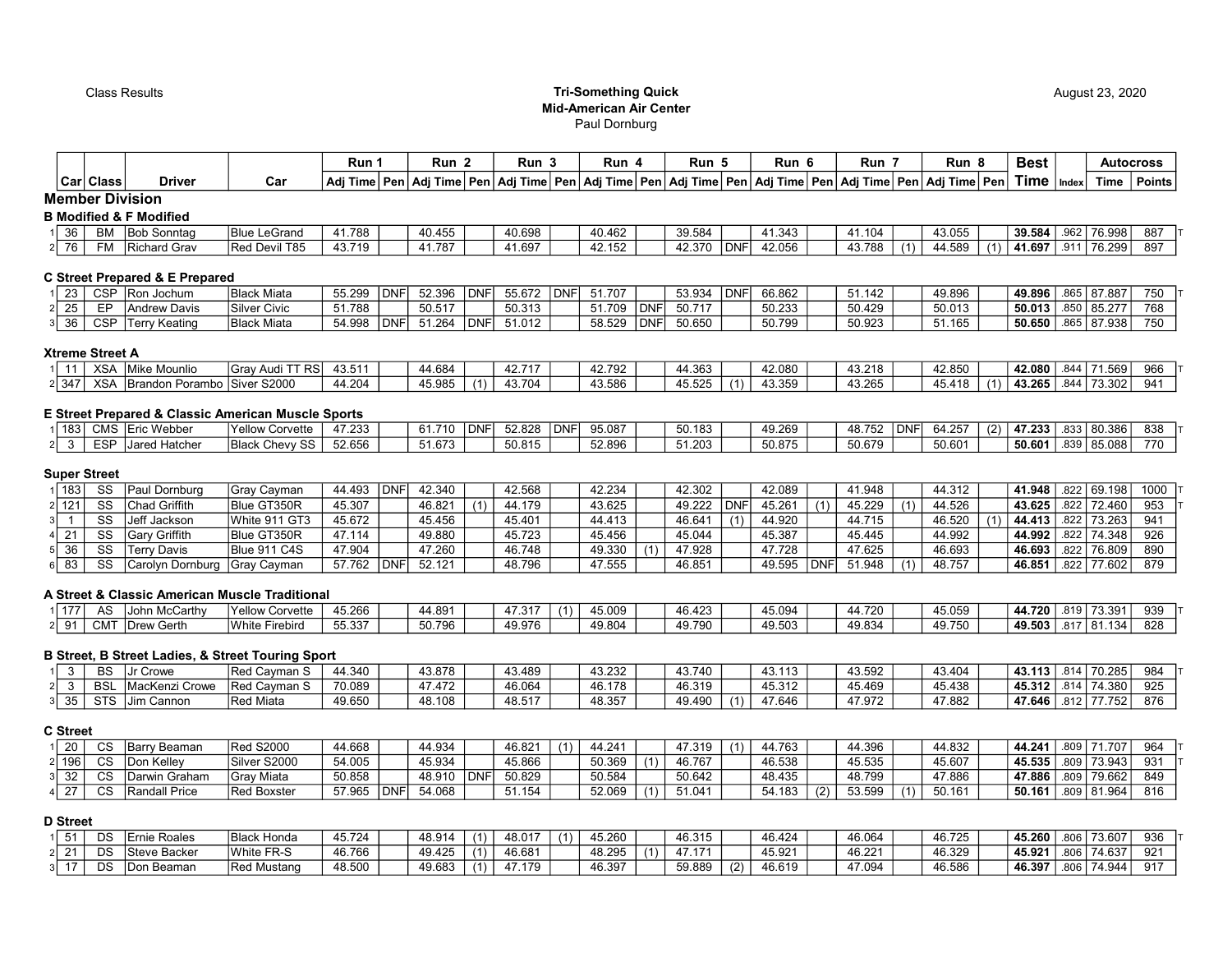## Class Results Tri-Something Quick Mid-American Air Center Paul Dornburg

|                              |            |                                                    |                     | Run 1  |            | Run <sub>2</sub> |       | Run <sub>3</sub> |            | Run 4  |            | Run 5  |            | Run 6                                                                                                                                       |     | Run 7  |            | Run <sub>8</sub> |     | <b>Best</b>            |      |                    | <b>Autocross</b> |
|------------------------------|------------|----------------------------------------------------|---------------------|--------|------------|------------------|-------|------------------|------------|--------|------------|--------|------------|---------------------------------------------------------------------------------------------------------------------------------------------|-----|--------|------------|------------------|-----|------------------------|------|--------------------|------------------|
|                              | Car Class  | <b>Driver</b>                                      | Car                 |        |            |                  |       |                  |            |        |            |        |            | Adj Time   Pen   Adj Time   Pen   Adj Time   Pen   Adj Time   Pen   Adj Time   Pen   Adj Time   Pen   Pen   Adj Time   Pen   Adj Time   Pen |     |        |            |                  |     | $Time  _{Index} $      |      | Time               | $ $ Points $ $   |
|                              |            | <b>Member Division</b>                             |                     |        |            |                  |       |                  |            |        |            |        |            |                                                                                                                                             |     |        |            |                  |     |                        |      |                    |                  |
|                              |            | <b>B Modified &amp; F Modified</b>                 |                     |        |            |                  |       |                  |            |        |            |        |            |                                                                                                                                             |     |        |            |                  |     |                        |      |                    |                  |
| 36                           |            | BM Bob Sonntag                                     | <b>Blue LeGrand</b> | 41.788 |            | 40.455           |       | 40.698           |            | 40.462 |            | 39.584 |            | 41.343                                                                                                                                      |     | 41.104 |            | 43.055           |     | 39.584                 |      | $.962$ 76.998      | 887              |
| 76                           | FM         | Richard Grav                                       | Red Devil T85       | 43.719 |            | 41.787           |       | 41.697           |            | 42.152 |            | 42.370 | <b>DNF</b> | 42.056                                                                                                                                      |     | 43.788 |            | 44.589           |     | 41.697   .911   76.299 |      |                    | 897              |
|                              |            | <b>C Street Prepared &amp; E Prepared</b>          |                     |        |            |                  |       |                  |            |        |            |        |            |                                                                                                                                             |     |        |            |                  |     |                        |      |                    |                  |
| 23                           |            | CSP Ron Jochum                                     | Black Miata         | 55.299 | DNF        | 52.396           | DNF   | 55.672           | <b>DNF</b> | 51.707 |            | 53.934 | <b>DNF</b> | 66.862                                                                                                                                      |     | 51.142 |            | 49.896           |     | 49.896                 |      | 865 87.887         | 750              |
| $\overline{25}$              | EP         | Andrew Davis                                       | <b>Silver Civic</b> | 51.788 |            | 50.517           |       | 50.313           |            | 51.709 | <b>DNF</b> | 50.717 |            | 50.233                                                                                                                                      |     | 50.429 |            | 50.013           |     | 50.013                 |      | 855 85.277         | 768              |
| 36                           | <b>CSP</b> | Terry Keating                                      | Black Miata         | 54.998 | <b>DNF</b> | 51.264           | DNF   | 51.012           |            | 58.529 | <b>DNF</b> | 50.650 |            | 50.799                                                                                                                                      |     | 50.923 |            | 51.165           |     | 50.650                 |      | 865 87.938         | 750              |
| <b>Xtreme Street A</b><br>11 |            | XSA Mike Mounlio                                   | Gray Audi TT RS     | 43.511 |            | 44.684           |       | 42.717           |            | 42.792 |            | 44.363 |            | 42.080                                                                                                                                      |     | 43.218 |            | 42.850           |     | 42.080                 | .844 | 71.569             | 966              |
| 2 347                        |            | XSA Brandon Porambo Siver S2000                    |                     | 44.204 |            | 45.985           | (1)   | 43.704           |            | 43.586 |            | 45.525 | (1)        | 43.359                                                                                                                                      |     | 43.265 |            | 45.418           |     | 43.265                 |      | .844 73.302        | 941              |
|                              |            | E Street Prepared & Classic American Muscle Sports |                     |        |            |                  |       |                  |            |        |            |        |            |                                                                                                                                             |     |        |            |                  |     |                        |      |                    |                  |
| 183                          |            | CMS Eric Webber                                    | Yellow Corvette     | 47.233 |            | 61.710           | l DNF | 52.828           | <b>DNF</b> | 95.087 |            | 50.183 |            | 49.269                                                                                                                                      |     | 48.752 | <b>DNF</b> | 64.257           | (2) | 47.233                 |      | $.833 \mid 80.386$ | 838              |
| $\mathbf{3}$                 | <b>ESP</b> | Jared Hatcher                                      | Black Chevy SS      | 52.656 |            | 51.673           |       | 50.815           |            | 52.896 |            | 51.203 |            | 50.875                                                                                                                                      |     | 50.679 |            | 50.601           |     | 50.601                 |      | .839 85.088        | 770              |
| <b>Super Street</b>          |            |                                                    |                     |        |            |                  |       |                  |            |        |            |        |            |                                                                                                                                             |     |        |            |                  |     |                        |      |                    |                  |
| 183                          | SS         | Paul Dornburg                                      | Gray Cayman         | 44.493 | DNF        | 42.340           |       | 42.568           |            | 42.234 |            | 42.302 |            | 42.089                                                                                                                                      |     | 41.948 |            | 44.312           |     | 41.948                 | .822 | 69.198             | 1000             |
| 121<br>21                    | SS         | Chad Griffith                                      | <b>Blue GT350R</b>  | 45.307 |            | 46.821           | (1)   | 44.179           |            | 43.625 |            | 49.222 | <b>DNF</b> | 45.261                                                                                                                                      | (1) | 45.229 | (1)        | 44.526           |     | 43.625                 | .822 | 72.460             | 953              |
|                              | SS         | Jeff Jackson                                       | White 911 GT3       | 45.672 |            | 45.456           |       | 45.401           |            | 44.413 |            | 46.641 | (1)        | 44.920                                                                                                                                      |     | 44.715 |            | 46.520           | (1) | 44.413                 | .822 | 73.263             | 941              |
| 21                           | SS         | Gary Griffith                                      | Blue GT350R         | 47.114 |            | 49.880           |       | 45.723           |            | 45.456 |            | 45.044 |            | 45.387                                                                                                                                      |     | 45.445 |            | 44.992           |     | 44.992                 | .822 | 74.348             | 926              |
| 36                           | SS         | Terry Davis                                        | Blue 911 C4S        | 47.904 |            | 47.260           |       | 46.748           |            | 49.330 | (1)        | 47.928 |            | 47.728                                                                                                                                      |     | 47.625 |            | 46.693           |     | 46.693                 | .822 | 76.809             | 890              |
| 83                           | SS         | Carolyn Dornburg                                   | Gray Cayman         | 57.762 | DNF        | 52.121           |       | 48.796           |            | 47.555 |            | 46.851 |            | 49.595                                                                                                                                      | DNF | 51.948 |            | 48.757           |     | 46.851                 |      | .822 77.602        | 879              |
|                              |            | A Street & Classic American Muscle Traditional     |                     |        |            |                  |       |                  |            |        |            |        |            |                                                                                                                                             |     |        |            |                  |     |                        |      |                    |                  |

|                | ∼               | wcCarth ا <b>w</b><br>⊣John M∩′ | lYellow Corvette         | 45.266                  | 44.891 | $\sim$ $-$<br>یں ، | (4)<br>-11 | $1 - 000$<br>45.UU. | 100<br>46.42 | 45.09  | 1.720  | 45.059         | 44.720 | .819         | 73.391 | 939 |
|----------------|-----------------|---------------------------------|--------------------------|-------------------------|--------|--------------------|------------|---------------------|--------------|--------|--------|----------------|--------|--------------|--------|-----|
| O <sub>1</sub> | CM <sup>-</sup> | הו<br>Gerth<br>.Drew            | . .<br>White<br>Firebird | 55.337<br><u>JJ.JJ1</u> | 50.796 | 49.976             |            | 49.80               | 49.790       | 49.503 | 49.834 | 40.75<br>49.70 | 49.503 | 0.47<br>.o i | .134   | 828 |

# B Street, B Street Ladies, & Street Touring Sport

|    | <sub>DO</sub><br>bə     | Crowe       | Red Cayman S        | 4.340  | 43.878 | 3.489           | 43.232 | 10.710 |                | $\overline{\phantom{a}}$<br>43. | 43.592     | 43.40A<br>40. | $\overline{12}$<br>113 | .814 | 70.285            | 984 |
|----|-------------------------|-------------|---------------------|--------|--------|-----------------|--------|--------|----------------|---------------------------------|------------|---------------|------------------------|------|-------------------|-----|
|    | BS                      | Crowe       | <b>Red Cavman S</b> | 70.089 | 47.472 | 46.064          | 46.178 | 46.319 |                | 15.010<br>ے31∡ 45               | - 3.469، ق | 45.438        | 45.312                 | .814 | 74.380            | 925 |
| 35 | $\sim$ T $\sim$<br>دن ا | IJim Cannon | <b>Red Miata</b>    | 49.650 | 48.108 | 40.547<br>، ن.ب | 48.357 | 49.490 | $\overline{A}$ | 17.010<br>.646 ،                | 7.972      | 47.882        | 47.646                 | .812 | 7752 <sub>1</sub> | 876 |

## C Street

| 20    |    | $\sim$ | IBarrv Beaman | <b>Red S2000</b>  | A.668  |             | 44.934 |            | 46.821      | 44.24 <sup>.</sup> | 47.319 | (4) | 44.763 | 44.396 |     | 44.832 | 44.241 | .809 | .707   | 96  |
|-------|----|--------|---------------|-------------------|--------|-------------|--------|------------|-------------|--------------------|--------|-----|--------|--------|-----|--------|--------|------|--------|-----|
| ∶196∣ |    | $\sim$ | Kellev<br>Dor | Silver S2000      | 54.005 |             | 45.934 |            | 45.866      | 50.369             | 46.767 |     | 46.538 | 45.535 |     | 45.607 | 45.535 | .809 | 73.943 | 93' |
|       | 32 | $\sim$ | Darwin Graham | <b>Grav Miata</b> | 50.858 |             | 48.910 | <b>DNF</b> | 50.829      | 50.584             | 50.642 |     | 48.435 | 48.799 |     | 17.886 | 47.886 | .809 | 79.662 | 849 |
|       |    | $\sim$ | Randall Price | Red Boxster       | 57.965 | <b>IDNF</b> | 4.068  |            | 1.154<br>D. | 52.069             | 51.041 |     | 54.183 | 53.599 | (1) | 50.161 | 50.161 | .809 | 81.964 | 816 |

# D Street

|  | DS           | Roales<br>Ernie         | <b>Black</b><br>Honda | 45.724 | 48.914 | 1.48.017 | $\overline{A}$ | 45.260 | 46.315      |     | 46.424 | 46.064 | 46.725 | 45.260 | .806 | 73.607      | 936 |
|--|--------------|-------------------------|-----------------------|--------|--------|----------|----------------|--------|-------------|-----|--------|--------|--------|--------|------|-------------|-----|
|  | $\sim$<br>در | Steve Backer            | White FR-S            | 46.766 | 49.425 | 16.681   |                | 48.295 | $1 - 1 - 1$ |     | 45.921 | 46.221 | 46.329 | 45.921 | .806 | 74.637      | 921 |
|  | י ה<br>◡     | .<br>Beaman ا<br>∴ on س | <b>Red Mustang</b>    | 48.500 | 49.683 | 179      |                | 46.397 | 59.889      | (2) | 46.619 | 47.094 | 46.586 | 46.397 |      | .806 74.944 | 917 |